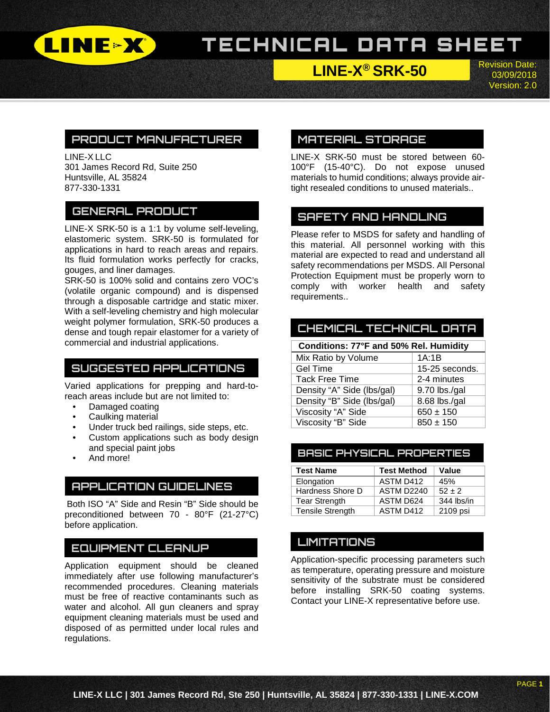

# TECHNICAL DATA SHEET

**LINE-X® SRK-50**

Revision Date: 03/09/2018 Version: 2.0

## **PRODUCT MANUFACTURER**

LINE-X LLC 301 James Record Rd, Suite 250 Huntsville, AL 35824 877-330-1331

## **GENERAL PRODUCT**

LINE-X SRK-50 is a 1:1 by volume self-leveling, elastomeric system. SRK-50 is formulated for applications in hard to reach areas and repairs. Its fluid formulation works perfectly for cracks, gouges, and liner damages.

SRK-50 is 100% solid and contains zero VOC's (volatile organic compound) and is dispensed through a disposable cartridge and static mixer. With a self-leveling chemistry and high molecular weight polymer formulation, SRK-50 produces a dense and tough repair elastomer for a variety of commercial and industrial applications.

## **SUGGESTED APPLICATIONS**

Varied applications for prepping and hard-toreach areas include but are not limited to:

- Damaged coating
- Caulking material
- Under truck bed railings, side steps, etc.
- Custom applications such as body design and special paint jobs
- And more!

### **APPLICATION GUIDELINES**

Both ISO "A" Side and Resin "B" Side should be preconditioned between 70 - 80°F (21-27°C) before application.

### **EQUIPMENT CLEANUP**

Application equipment should be cleaned immediately after use following manufacturer's recommended procedures. Cleaning materials must be free of reactive contaminants such as water and alcohol. All gun cleaners and spray equipment cleaning materials must be used and disposed of as permitted under local rules and regulations.

## **MATERIAL STORAGE**

LINE-X SRK-50 must be stored between 60- 100°F (15-40°C). Do not expose unused materials to humid conditions; always provide airtight resealed conditions to unused materials..

## **SAFETY AND HANDLING**

Please refer to MSDS for safety and handling of this material. All personnel working with this material are expected to read and understand all safety recommendations per MSDS. All Personal Protection Equipment must be properly worn to comply with worker health and safety requirements..

# **CHEMICAL TECHNICAL DATA**

| Conditions: 77°F and 50% Rel. Humidity |                |  |
|----------------------------------------|----------------|--|
| Mix Ratio by Volume                    | 1A:1B          |  |
| <b>Gel Time</b>                        | 15-25 seconds. |  |
| <b>Tack Free Time</b>                  | 2-4 minutes    |  |
| Density "A" Side (lbs/gal)             | 9.70 lbs./gal  |  |
| Density "B" Side (lbs/gal)             | 8.68 lbs./gal  |  |
| Viscosity "A" Side                     | $650 \pm 150$  |  |
| Viscosity "B" Side                     | $850 \pm 150$  |  |

#### **BASIC PHYSICAL PROPERTIES**

| <b>Test Name</b>        | <b>Test Method</b> | Value      |
|-------------------------|--------------------|------------|
| Elongation              | ASTM D412          | 45%        |
| Hardness Shore D        | ASTM D2240         | $52 + 2$   |
| <b>Tear Strength</b>    | ASTM D624          | 344 lbs/in |
| <b>Tensile Strength</b> | ASTM D412          | 2109 psi   |

## **LIMITATIONS**

Application-specific processing parameters such as temperature, operating pressure and moisture sensitivity of the substrate must be considered before installing SRK-50 coating systems. Contact your LINE-X representative before use.